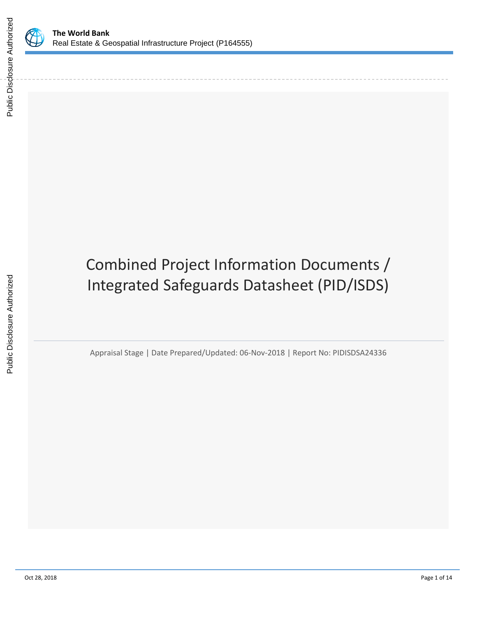

Public Disclosure Authorized

Public Disclosure Authorized

# Combined Project Information Documents / Integrated Safeguards Datasheet (PID/ISDS)

Appraisal Stage | Date Prepared/Updated: 06-Nov-2018 | Report No: PIDISDSA24336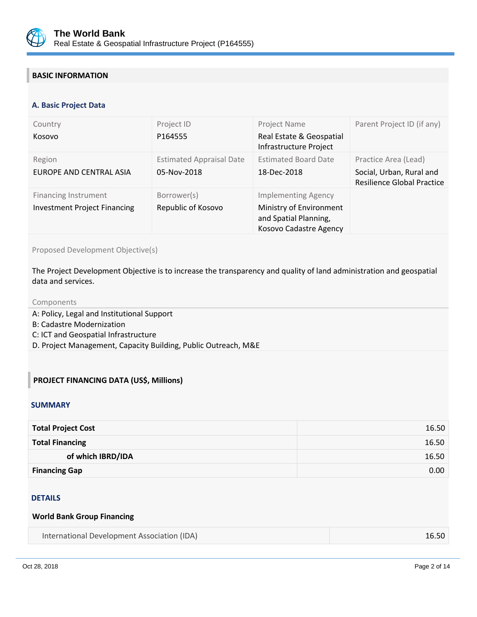

# **BASIC INFORMATION**

#### **OPS\_TABLE\_BASIC\_DATA A. Basic Project Data**

| Country<br>Kosovo                                                  | Project ID<br>P164555                          | Project Name<br>Real Estate & Geospatial<br>Infrastructure Project                                       | Parent Project ID (if any)                                                            |
|--------------------------------------------------------------------|------------------------------------------------|----------------------------------------------------------------------------------------------------------|---------------------------------------------------------------------------------------|
| Region<br>EUROPE AND CENTRAL ASIA                                  | <b>Estimated Appraisal Date</b><br>05-Nov-2018 | <b>Estimated Board Date</b><br>18-Dec-2018                                                               | Practice Area (Lead)<br>Social, Urban, Rural and<br><b>Resilience Global Practice</b> |
| <b>Financing Instrument</b><br><b>Investment Project Financing</b> | Borrower(s)<br>Republic of Kosovo              | <b>Implementing Agency</b><br>Ministry of Environment<br>and Spatial Planning,<br>Kosovo Cadastre Agency |                                                                                       |

Proposed Development Objective(s)

The Project Development Objective is to increase the transparency and quality of land administration and geospatial data and services.

#### Components

- A: Policy, Legal and Institutional Support
- B: Cadastre Modernization
- C: ICT and Geospatial Infrastructure
- D. Project Management, Capacity Building, Public Outreach, M&E

## **PROJECT FINANCING DATA (US\$, Millions)**

#### **SUMMARY**

| <b>Total Project Cost</b> | 16.50 |
|---------------------------|-------|
| <b>Total Financing</b>    | 16.50 |
| of which IBRD/IDA         | 16.50 |
| <b>Financing Gap</b>      | 0.00  |

#### DETAILS

#### **World Bank Group Financing**

| International Development Association (IDA) | 16.50 |
|---------------------------------------------|-------|
|---------------------------------------------|-------|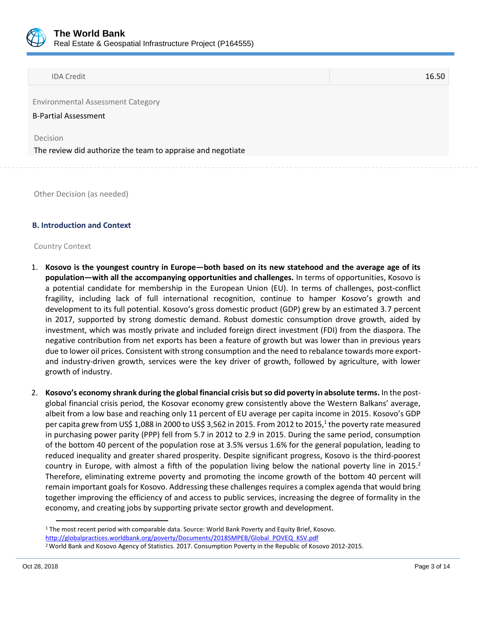

| <b>IDA Credit</b> | 16.50 |
|-------------------|-------|
|-------------------|-------|

Environmental Assessment Category

B-Partial Assessment

Decision

The review did authorize the team to appraise and negotiate

Other Decision (as needed)

#### **B. Introduction and Context**

#### Country Context

- 1. Kosovo is the youngest country in Europe—both based on its new statehood and the average age of its **population—with all the accompanying opportunities and challenges.** In terms of opportunities, Kosovo is a potential candidate for membership in the European Union (EU). In terms of challenges, post-conflict fragility, including lack of full international recognition, continue to hamper Kosovo's growth and development to its full potential. Kosovo's gross domestic product (GDP) grew by an estimated 3.7 percent in 2017, supported by strong domestic demand. Robust domestic consumption drove growth, aided by investment, which was mostly private and included foreign direct investment (FDI) from the diaspora. The negative contribution from net exports has been a feature of growth but was lower than in previous years due to lower oil prices. Consistent with strong consumption and the need to rebalance towards more exportand industry-driven growth, services were the key driver of growth, followed by agriculture, with lower growth of industry.
- 2. **Kosovo's economy shrank during the global financial crisis but so did poverty in absolute terms.** In the postglobal financial crisis period, the Kosovar economy grew consistently above the Western Balkans' average, albeit from a low base and reaching only 11 percent of EU average per capita income in 2015. Kosovo's GDP per capita grew from US\$ 1,088 in 2000 to US\$ 3,562 in 2015. From 2012 to 2015,<sup>1</sup> the poverty rate measured in purchasing power parity (PPP) fell from 5.7 in 2012 to 2.9 in 2015. During the same period, consumption of the bottom 40 percent of the population rose at 3.5% versus 1.6% for the general population, leading to reduced inequality and greater shared prosperity. Despite significant progress, Kosovo is the third-poorest country in Europe, with almost a fifth of the population living below the national poverty line in 2015.<sup>2</sup> Therefore, eliminating extreme poverty and promoting the income growth of the bottom 40 percent will remain important goals for Kosovo. Addressing these challenges requires a complex agenda that would bring together improving the efficiency of and access to public services, increasing the degree of formality in the economy, and creating jobs by supporting private sector growth and development.

 $\overline{a}$ 

<sup>1</sup> The most recent period with comparable data. Source: World Bank Poverty and Equity Brief, Kosovo.

[http://globalpractices.worldbank.org/poverty/Documents/2018SMPEB/Global\\_POVEQ\\_KSV.pdf](http://globalpractices.worldbank.org/poverty/Documents/2018SMPEB/Global_POVEQ_KSV.pdf)

<sup>2</sup>World Bank and Kosovo Agency of Statistics. 2017. Consumption Poverty in the Republic of Kosovo 2012-2015.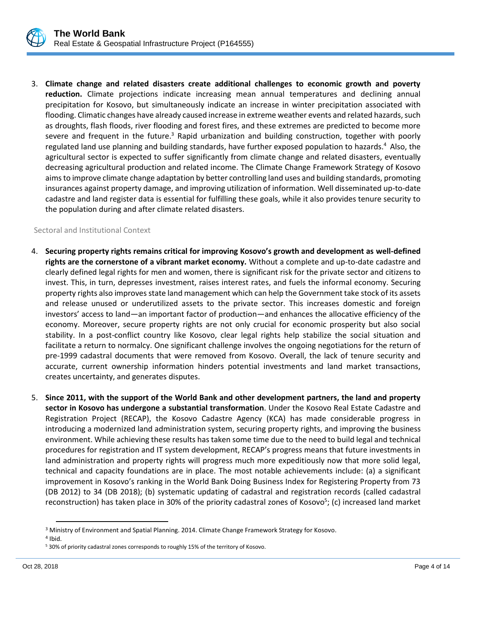

3. **Climate change and related disasters create additional challenges to economic growth and poverty reduction.** Climate projections indicate increasing mean annual temperatures and declining annual precipitation for Kosovo, but simultaneously indicate an increase in winter precipitation associated with flooding. Climatic changes have already caused increase in extreme weather events and related hazards, such as droughts, flash floods, river flooding and forest fires, and these extremes are predicted to become more severe and frequent in the future.<sup>3</sup> Rapid urbanization and building construction, together with poorly regulated land use planning and building standards, have further exposed population to hazards.<sup>4</sup> Also, the agricultural sector is expected to suffer significantly from climate change and related disasters, eventually decreasing agricultural production and related income. The Climate Change Framework Strategy of Kosovo aims to improve climate change adaptation by better controlling land uses and building standards, promoting insurances against property damage, and improving utilization of information. Well disseminated up-to-date cadastre and land register data is essential for fulfilling these goals, while it also provides tenure security to the population during and after climate related disasters.

#### Sectoral and Institutional Context

- 4. **Securing property rights remains critical for improving Kosovo's growth and development as well-defined rights are the cornerstone of a vibrant market economy.** Without a complete and up-to-date cadastre and clearly defined legal rights for men and women, there is significant risk for the private sector and citizens to invest. This, in turn, depresses investment, raises interest rates, and fuels the informal economy. Securing property rights also improves state land management which can help the Government take stock of its assets and release unused or underutilized assets to the private sector. This increases domestic and foreign investors' access to land—an important factor of production—and enhances the allocative efficiency of the economy. Moreover, secure property rights are not only crucial for economic prosperity but also social stability. In a post-conflict country like Kosovo, clear legal rights help stabilize the social situation and facilitate a return to normalcy. One significant challenge involves the ongoing negotiations for the return of pre-1999 cadastral documents that were removed from Kosovo. Overall, the lack of tenure security and accurate, current ownership information hinders potential investments and land market transactions, creates uncertainty, and generates disputes.
- 5. **Since 2011, with the support of the World Bank and other development partners, the land and property sector in Kosovo has undergone a substantial transformation**. Under the Kosovo Real Estate Cadastre and Registration Project (RECAP), the Kosovo Cadastre Agency (KCA) has made considerable progress in introducing a modernized land administration system, securing property rights, and improving the business environment. While achieving these results has taken some time due to the need to build legal and technical procedures for registration and IT system development, RECAP's progress means that future investments in land administration and property rights will progress much more expeditiously now that more solid legal, technical and capacity foundations are in place. The most notable achievements include: (a) a significant improvement in Kosovo's ranking in the World Bank Doing Business Index for Registering Property from 73 (DB 2012) to 34 (DB 2018); (b) systematic updating of cadastral and registration records (called cadastral reconstruction) has taken place in 30% of the priority cadastral zones of Kosovo<sup>5</sup>; (c) increased land market

l

<sup>&</sup>lt;sup>3</sup> Ministry of Environment and Spatial Planning. 2014. Climate Change Framework Strategy for Kosovo.

<sup>4</sup> Ibid.

<sup>5</sup> 30% of priority cadastral zones corresponds to roughly 15% of the territory of Kosovo.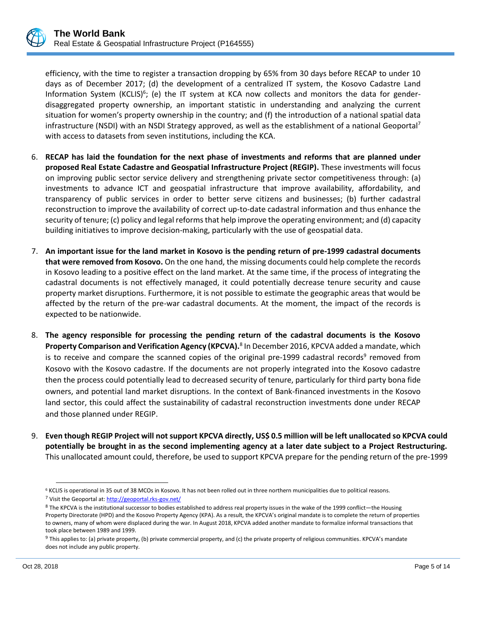efficiency, with the time to register a transaction dropping by 65% from 30 days before RECAP to under 10 days as of December 2017; (d) the development of a centralized IT system, the Kosovo Cadastre Land Information System (KCLIS)<sup>6</sup>; (e) the IT system at KCA now collects and monitors the data for genderdisaggregated property ownership, an important statistic in understanding and analyzing the current situation for women's property ownership in the country; and (f) the introduction of a national spatial data infrastructure (NSDI) with an NSDI Strategy approved, as well as the establishment of a national Geoportal<sup>7</sup> with access to datasets from seven institutions, including the KCA.

- 6. **RECAP has laid the foundation for the next phase of investments and reforms that are planned under proposed Real Estate Cadastre and Geospatial Infrastructure Project (REGIP).** These investments will focus on improving public sector service delivery and strengthening private sector competitiveness through: (a) investments to advance ICT and geospatial infrastructure that improve availability, affordability, and transparency of public services in order to better serve citizens and businesses; (b) further cadastral reconstruction to improve the availability of correct up-to-date cadastral information and thus enhance the security of tenure; (c) policy and legal reforms that help improve the operating environment; and (d) capacity building initiatives to improve decision-making, particularly with the use of geospatial data.
- 7. **An important issue for the land market in Kosovo is the pending return of pre-1999 cadastral documents that were removed from Kosovo.** On the one hand, the missing documents could help complete the records in Kosovo leading to a positive effect on the land market. At the same time, if the process of integrating the cadastral documents is not effectively managed, it could potentially decrease tenure security and cause property market disruptions. Furthermore, it is not possible to estimate the geographic areas that would be affected by the return of the pre-war cadastral documents. At the moment, the impact of the records is expected to be nationwide.
- 8. **The agency responsible for processing the pending return of the cadastral documents is the Kosovo**  Property Comparison and Verification Agency (KPCVA).<sup>8</sup> In December 2016, KPCVA added a mandate, which is to receive and compare the scanned copies of the original pre-1999 cadastral records<sup>9</sup> removed from Kosovo with the Kosovo cadastre. If the documents are not properly integrated into the Kosovo cadastre then the process could potentially lead to decreased security of tenure, particularly for third party bona fide owners, and potential land market disruptions. In the context of Bank-financed investments in the Kosovo land sector, this could affect the sustainability of cadastral reconstruction investments done under RECAP and those planned under REGIP.
- 9. **Even though REGIP Project will not support KPCVA directly, US\$ 0.5 million will be left unallocated so KPCVA could potentially be brought in as the second implementing agency at a later date subject to a Project Restructuring.**  This unallocated amount could, therefore, be used to support KPCVA prepare for the pending return of the pre-1999

 $\overline{\phantom{a}}$ 

<sup>6</sup> KCLIS is operational in 35 out of 38 MCOs in Kosovo. It has not been rolled out in three northern municipalities due to political reasons. <sup>7</sup> Visit the Geoportal at[: http://geoportal.rks-gov.net/](http://geoportal.rks-gov.net/)

<sup>8</sup> The KPCVA is the institutional successor to bodies established to address real property issues in the wake of the 1999 conflict—the Housing Property Directorate (HPD) and the Kosovo Property Agency (KPA). As a result, the KPCVA's original mandate is to complete the return of properties to owners, many of whom were displaced during the war. In August 2018, KPCVA added another mandate to formalize informal transactions that took place between 1989 and 1999.

 $9$  This applies to: (a) private property, (b) private commercial property, and (c) the private property of religious communities. KPCVA's mandate does not include any public property.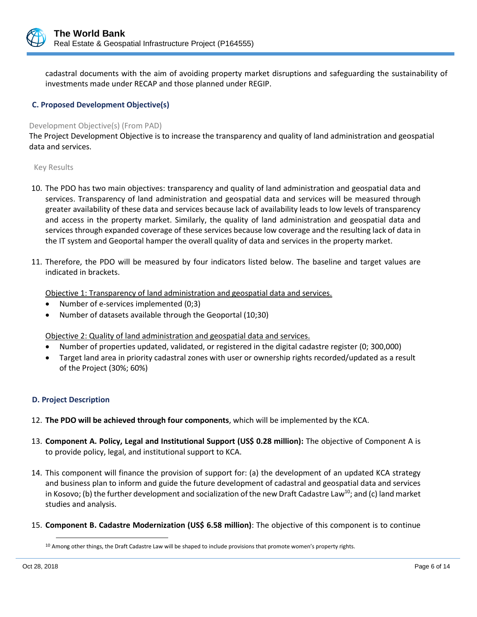

cadastral documents with the aim of avoiding property market disruptions and safeguarding the sustainability of investments made under RECAP and those planned under REGIP.

## **C. Proposed Development Objective(s)**

#### Development Objective(s) (From PAD)

The Project Development Objective is to increase the transparency and quality of land administration and geospatial data and services.

#### Key Results

- 10. The PDO has two main objectives: transparency and quality of land administration and geospatial data and services. Transparency of land administration and geospatial data and services will be measured through greater availability of these data and services because lack of availability leads to low levels of transparency and access in the property market. Similarly, the quality of land administration and geospatial data and services through expanded coverage of these services because low coverage and the resulting lack of data in the IT system and Geoportal hamper the overall quality of data and services in the property market.
- 11. Therefore, the PDO will be measured by four indicators listed below. The baseline and target values are indicated in brackets.

Objective 1: Transparency of land administration and geospatial data and services.

- Number of e-services implemented (0;3)
- Number of datasets available through the Geoportal (10;30)

Objective 2: Quality of land administration and geospatial data and services.

- Number of properties updated, validated, or registered in the digital cadastre register (0; 300,000)
- Target land area in priority cadastral zones with user or ownership rights recorded/updated as a result of the Project (30%; 60%)

## **D. Project Description**

- 12. **The PDO will be achieved through four components**, which will be implemented by the KCA.
- 13. **Component A. Policy, Legal and Institutional Support (US\$ 0.28 million):** The objective of Component A is to provide policy, legal, and institutional support to KCA.
- 14. This component will finance the provision of support for: (a) the development of an updated KCA strategy and business plan to inform and guide the future development of cadastral and geospatial data and services in Kosovo; (b) the further development and socialization of the new Draft Cadastre Law<sup>10</sup>; and (c) land market studies and analysis.
- 15. **Component B. Cadastre Modernization (US\$ 6.58 million)**: The objective of this component is to continue

 $\overline{\phantom{a}}$ 

 $10$  Among other things, the Draft Cadastre Law will be shaped to include provisions that promote women's property rights.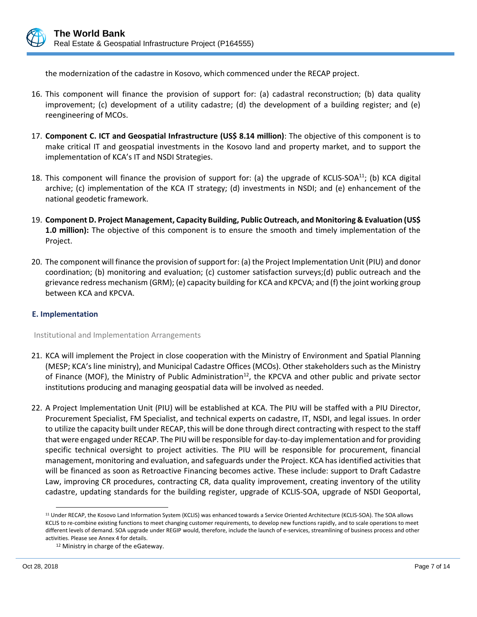

the modernization of the cadastre in Kosovo, which commenced under the RECAP project.

- 16. This component will finance the provision of support for: (a) cadastral reconstruction; (b) data quality improvement; (c) development of a utility cadastre; (d) the development of a building register; and (e) reengineering of MCOs.
- 17. **Component C. ICT and Geospatial Infrastructure (US\$ 8.14 million)**: The objective of this component is to make critical IT and geospatial investments in the Kosovo land and property market, and to support the implementation of KCA's IT and NSDI Strategies.
- 18. This component will finance the provision of support for: (a) the upgrade of KCLIS-SOA<sup>11</sup>; (b) KCA digital archive; (c) implementation of the KCA IT strategy; (d) investments in NSDI; and (e) enhancement of the national geodetic framework.
- 19. **Component D. Project Management, Capacity Building, Public Outreach, and Monitoring & Evaluation (US\$ 1.0 million):** The objective of this component is to ensure the smooth and timely implementation of the Project.
- 20. The component will finance the provision of support for: (a) the Project Implementation Unit (PIU) and donor coordination; (b) monitoring and evaluation; (c) customer satisfaction surveys;(d) public outreach and the grievance redress mechanism (GRM); (e) capacity building for KCA and KPCVA; and (f) the joint working group between KCA and KPCVA.

## **E. Implementation**

Institutional and Implementation Arrangements

- 21. KCA will implement the Project in close cooperation with the Ministry of Environment and Spatial Planning (MESP; KCA's line ministry), and Municipal Cadastre Offices (MCOs). Other stakeholders such as the Ministry of Finance (MOF), the Ministry of Public Administration<sup>12</sup>, the KPCVA and other public and private sector institutions producing and managing geospatial data will be involved as needed.
- 22. A Project Implementation Unit (PIU) will be established at KCA. The PIU will be staffed with a PIU Director, Procurement Specialist, FM Specialist, and technical experts on cadastre, IT, NSDI, and legal issues. In order to utilize the capacity built under RECAP, this will be done through direct contracting with respect to the staff that were engaged under RECAP. The PIU will be responsible for day-to-day implementation and for providing specific technical oversight to project activities. The PIU will be responsible for procurement, financial management, monitoring and evaluation, and safeguards under the Project. KCA has identified activities that will be financed as soon as Retroactive Financing becomes active. These include: support to Draft Cadastre Law, improving CR procedures, contracting CR, data quality improvement, creating inventory of the utility cadastre, updating standards for the building register, upgrade of KCLIS-SOA, upgrade of NSDI Geoportal,

l

<sup>&</sup>lt;sup>11</sup> Under RECAP, the Kosovo Land Information System (KCLIS) was enhanced towards a Service Oriented Architecture (KCLIS-SOA). The SOA allows KCLIS to re-combine existing functions to meet changing customer requirements, to develop new functions rapidly, and to scale operations to meet different levels of demand. SOA upgrade under REGIP would, therefore, include the launch of e-services, streamlining of business process and other activities. Please see Annex 4 for details.

<sup>12</sup> Ministry in charge of the eGateway.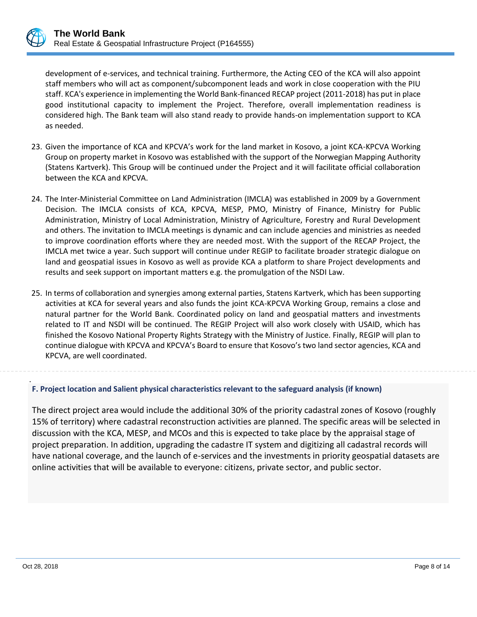development of e-services, and technical training. Furthermore, the Acting CEO of the KCA will also appoint staff members who will act as component/subcomponent leads and work in close cooperation with the PIU staff. KCA's experience in implementing the World Bank-financed RECAP project (2011-2018) has put in place good institutional capacity to implement the Project. Therefore, overall implementation readiness is considered high. The Bank team will also stand ready to provide hands-on implementation support to KCA as needed.

- 23. Given the importance of KCA and KPCVA's work for the land market in Kosovo, a joint KCA-KPCVA Working Group on property market in Kosovo was established with the support of the Norwegian Mapping Authority (Statens Kartverk). This Group will be continued under the Project and it will facilitate official collaboration between the KCA and KPCVA.
- 24. The Inter-Ministerial Committee on Land Administration (IMCLA) was established in 2009 by a Government Decision. The IMCLA consists of KCA, KPCVA, MESP, PMO, Ministry of Finance, Ministry for Public Administration, Ministry of Local Administration, Ministry of Agriculture, Forestry and Rural Development and others. The invitation to IMCLA meetings is dynamic and can include agencies and ministries as needed to improve coordination efforts where they are needed most. With the support of the RECAP Project, the IMCLA met twice a year. Such support will continue under REGIP to facilitate broader strategic dialogue on land and geospatial issues in Kosovo as well as provide KCA a platform to share Project developments and results and seek support on important matters e.g. the promulgation of the NSDI Law.
- 25. In terms of collaboration and synergies among external parties, Statens Kartverk, which has been supporting activities at KCA for several years and also funds the joint KCA-KPCVA Working Group, remains a close and natural partner for the World Bank. Coordinated policy on land and geospatial matters and investments related to IT and NSDI will be continued. The REGIP Project will also work closely with USAID, which has finished the Kosovo National Property Rights Strategy with the Ministry of Justice. Finally, REGIP will plan to continue dialogue with KPCVA and KPCVA's Board to ensure that Kosovo's two land sector agencies, KCA and KPCVA, are well coordinated.

#### . **F. Project location and Salient physical characteristics relevant to the safeguard analysis (if known)**

The direct project area would include the additional 30% of the priority cadastral zones of Kosovo (roughly 15% of territory) where cadastral reconstruction activities are planned. The specific areas will be selected in discussion with the KCA, MESP, and MCOs and this is expected to take place by the appraisal stage of project preparation. In addition, upgrading the cadastre IT system and digitizing all cadastral records will have national coverage, and the launch of e-services and the investments in priority geospatial datasets are online activities that will be available to everyone: citizens, private sector, and public sector.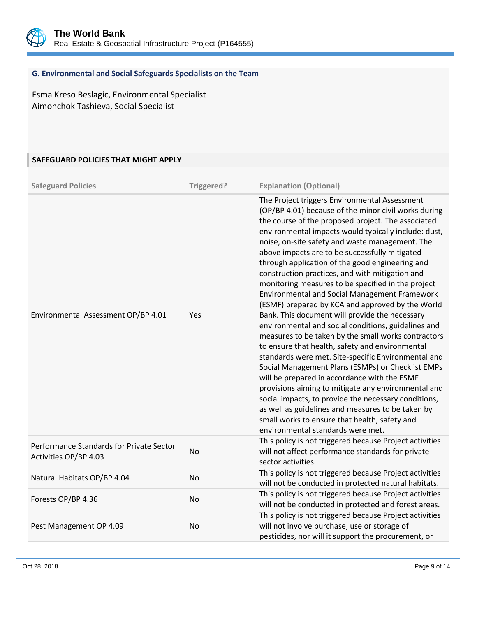

## **G. Environmental and Social Safeguards Specialists on the Team**

Esma Kreso Beslagic, Environmental Specialist Aimonchok Tashieva, Social Specialist

# **SAFEGUARD POLICIES THAT MIGHT APPLY**

| <b>Safeguard Policies</b>                                         | Triggered? | <b>Explanation (Optional)</b>                                                                                                                                                                                                                                                                                                                                                                                                                                                                                                                                                                                                                                                                                                                                                                                                                                                                                                                                                                                                                                                                                                                                                                                                      |
|-------------------------------------------------------------------|------------|------------------------------------------------------------------------------------------------------------------------------------------------------------------------------------------------------------------------------------------------------------------------------------------------------------------------------------------------------------------------------------------------------------------------------------------------------------------------------------------------------------------------------------------------------------------------------------------------------------------------------------------------------------------------------------------------------------------------------------------------------------------------------------------------------------------------------------------------------------------------------------------------------------------------------------------------------------------------------------------------------------------------------------------------------------------------------------------------------------------------------------------------------------------------------------------------------------------------------------|
| Environmental Assessment OP/BP 4.01                               | Yes        | The Project triggers Environmental Assessment<br>(OP/BP 4.01) because of the minor civil works during<br>the course of the proposed project. The associated<br>environmental impacts would typically include: dust,<br>noise, on-site safety and waste management. The<br>above impacts are to be successfully mitigated<br>through application of the good engineering and<br>construction practices, and with mitigation and<br>monitoring measures to be specified in the project<br>Environmental and Social Management Framework<br>(ESMF) prepared by KCA and approved by the World<br>Bank. This document will provide the necessary<br>environmental and social conditions, guidelines and<br>measures to be taken by the small works contractors<br>to ensure that health, safety and environmental<br>standards were met. Site-specific Environmental and<br>Social Management Plans (ESMPs) or Checklist EMPs<br>will be prepared in accordance with the ESMF<br>provisions aiming to mitigate any environmental and<br>social impacts, to provide the necessary conditions,<br>as well as guidelines and measures to be taken by<br>small works to ensure that health, safety and<br>environmental standards were met. |
| Performance Standards for Private Sector<br>Activities OP/BP 4.03 | No         | This policy is not triggered because Project activities<br>will not affect performance standards for private<br>sector activities.                                                                                                                                                                                                                                                                                                                                                                                                                                                                                                                                                                                                                                                                                                                                                                                                                                                                                                                                                                                                                                                                                                 |
| Natural Habitats OP/BP 4.04                                       | <b>No</b>  | This policy is not triggered because Project activities<br>will not be conducted in protected natural habitats.                                                                                                                                                                                                                                                                                                                                                                                                                                                                                                                                                                                                                                                                                                                                                                                                                                                                                                                                                                                                                                                                                                                    |
| Forests OP/BP 4.36                                                | No         | This policy is not triggered because Project activities<br>will not be conducted in protected and forest areas.                                                                                                                                                                                                                                                                                                                                                                                                                                                                                                                                                                                                                                                                                                                                                                                                                                                                                                                                                                                                                                                                                                                    |
| Pest Management OP 4.09                                           | No         | This policy is not triggered because Project activities<br>will not involve purchase, use or storage of<br>pesticides, nor will it support the procurement, or                                                                                                                                                                                                                                                                                                                                                                                                                                                                                                                                                                                                                                                                                                                                                                                                                                                                                                                                                                                                                                                                     |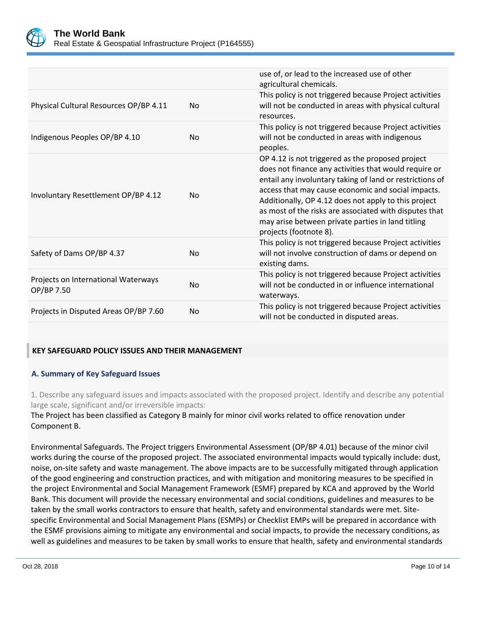

|                                                   |                | use of, or lead to the increased use of other<br>agricultural chemicals.                                                                                                                                                                                                                                                                                                                                                     |
|---------------------------------------------------|----------------|------------------------------------------------------------------------------------------------------------------------------------------------------------------------------------------------------------------------------------------------------------------------------------------------------------------------------------------------------------------------------------------------------------------------------|
| Physical Cultural Resources OP/BP 4.11            | N <sub>o</sub> | This policy is not triggered because Project activities<br>will not be conducted in areas with physical cultural<br>resources.                                                                                                                                                                                                                                                                                               |
| Indigenous Peoples OP/BP 4.10                     | No.            | This policy is not triggered because Project activities<br>will not be conducted in areas with indigenous<br>peoples.                                                                                                                                                                                                                                                                                                        |
| Involuntary Resettlement OP/BP 4.12               | N <sub>o</sub> | OP 4.12 is not triggered as the proposed project<br>does not finance any activities that would require or<br>entail any involuntary taking of land or restrictions of<br>access that may cause economic and social impacts.<br>Additionally, OP 4.12 does not apply to this project<br>as most of the risks are associated with disputes that<br>may arise between private parties in land titling<br>projects (footnote 8). |
| Safety of Dams OP/BP 4.37                         | <b>No</b>      | This policy is not triggered because Project activities<br>will not involve construction of dams or depend on<br>existing dams.                                                                                                                                                                                                                                                                                              |
| Projects on International Waterways<br>OP/BP 7.50 | <b>No</b>      | This policy is not triggered because Project activities<br>will not be conducted in or influence international<br>waterways.                                                                                                                                                                                                                                                                                                 |
| Projects in Disputed Areas OP/BP 7.60             | <b>No</b>      | This policy is not triggered because Project activities<br>will not be conducted in disputed areas.                                                                                                                                                                                                                                                                                                                          |

## **KEY SAFEGUARD POLICY ISSUES AND THEIR MANAGEMENT**

## **A. Summary of Key Safeguard Issues**

1. Describe any safeguard issues and impacts associated with the proposed project. Identify and describe any potential large scale, significant and/or irreversible impacts:

The Project has been classified as Category B mainly for minor civil works related to office renovation under Component B.

Environmental Safeguards. The Project triggers Environmental Assessment (OP/BP 4.01) because of the minor civil works during the course of the proposed project. The associated environmental impacts would typically include: dust, noise, on-site safety and waste management. The above impacts are to be successfully mitigated through application of the good engineering and construction practices, and with mitigation and monitoring measures to be specified in the project Environmental and Social Management Framework (ESMF) prepared by KCA and approved by the World Bank. This document will provide the necessary environmental and social conditions, guidelines and measures to be taken by the small works contractors to ensure that health, safety and environmental standards were met. Sitespecific Environmental and Social Management Plans (ESMPs) or Checklist EMPs will be prepared in accordance with the ESMF provisions aiming to mitigate any environmental and social impacts, to provide the necessary conditions, as well as guidelines and measures to be taken by small works to ensure that health, safety and environmental standards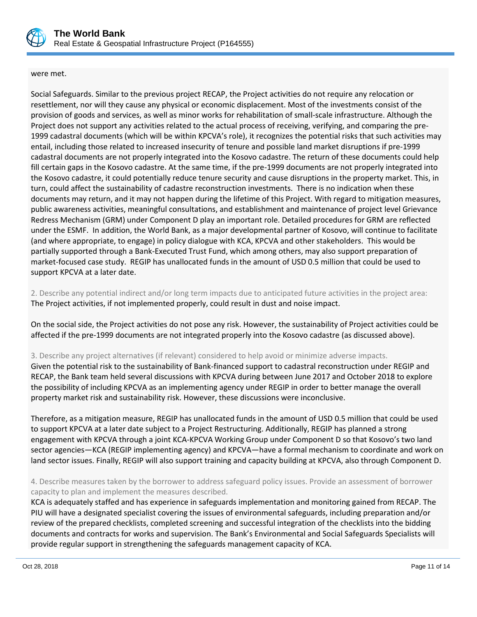

#### were met.

Social Safeguards. Similar to the previous project RECAP, the Project activities do not require any relocation or resettlement, nor will they cause any physical or economic displacement. Most of the investments consist of the provision of goods and services, as well as minor works for rehabilitation of small-scale infrastructure. Although the Project does not support any activities related to the actual process of receiving, verifying, and comparing the pre-1999 cadastral documents (which will be within KPCVA's role), it recognizes the potential risks that such activities may entail, including those related to increased insecurity of tenure and possible land market disruptions if pre-1999 cadastral documents are not properly integrated into the Kosovo cadastre. The return of these documents could help fill certain gaps in the Kosovo cadastre. At the same time, if the pre-1999 documents are not properly integrated into the Kosovo cadastre, it could potentially reduce tenure security and cause disruptions in the property market. This, in turn, could affect the sustainability of cadastre reconstruction investments. There is no indication when these documents may return, and it may not happen during the lifetime of this Project. With regard to mitigation measures, public awareness activities, meaningful consultations, and establishment and maintenance of project level Grievance Redress Mechanism (GRM) under Component D play an important role. Detailed procedures for GRM are reflected under the ESMF. In addition, the World Bank, as a major developmental partner of Kosovo, will continue to facilitate (and where appropriate, to engage) in policy dialogue with KCA, KPCVA and other stakeholders. This would be partially supported through a Bank-Executed Trust Fund, which among others, may also support preparation of market-focused case study. REGIP has unallocated funds in the amount of USD 0.5 million that could be used to support KPCVA at a later date.

2. Describe any potential indirect and/or long term impacts due to anticipated future activities in the project area: The Project activities, if not implemented properly, could result in dust and noise impact.

On the social side, the Project activities do not pose any risk. However, the sustainability of Project activities could be affected if the pre-1999 documents are not integrated properly into the Kosovo cadastre (as discussed above).

## 3. Describe any project alternatives (if relevant) considered to help avoid or minimize adverse impacts.

Given the potential risk to the sustainability of Bank-financed support to cadastral reconstruction under REGIP and RECAP, the Bank team held several discussions with KPCVA during between June 2017 and October 2018 to explore the possibility of including KPCVA as an implementing agency under REGIP in order to better manage the overall property market risk and sustainability risk. However, these discussions were inconclusive.

Therefore, as a mitigation measure, REGIP has unallocated funds in the amount of USD 0.5 million that could be used to support KPCVA at a later date subject to a Project Restructuring. Additionally, REGIP has planned a strong engagement with KPCVA through a joint KCA-KPCVA Working Group under Component D so that Kosovo's two land sector agencies—KCA (REGIP implementing agency) and KPCVA—have a formal mechanism to coordinate and work on land sector issues. Finally, REGIP will also support training and capacity building at KPCVA, also through Component D.

4. Describe measures taken by the borrower to address safeguard policy issues. Provide an assessment of borrower capacity to plan and implement the measures described.

KCA is adequately staffed and has experience in safeguards implementation and monitoring gained from RECAP. The PIU will have a designated specialist covering the issues of environmental safeguards, including preparation and/or review of the prepared checklists, completed screening and successful integration of the checklists into the bidding documents and contracts for works and supervision. The Bank's Environmental and Social Safeguards Specialists will provide regular support in strengthening the safeguards management capacity of KCA.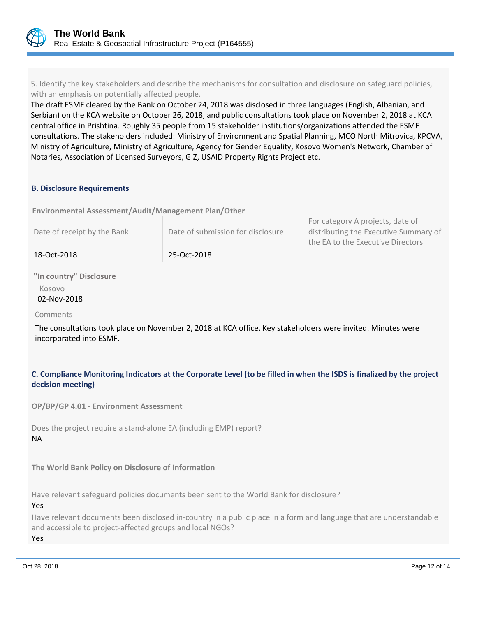

5. Identify the key stakeholders and describe the mechanisms for consultation and disclosure on safeguard policies, with an emphasis on potentially affected people.

The draft ESMF cleared by the Bank on October 24, 2018 was disclosed in three languages (English, Albanian, and Serbian) on the KCA website on October 26, 2018, and public consultations took place on November 2, 2018 at KCA central office in Prishtina. Roughly 35 people from 15 stakeholder institutions/organizations attended the ESMF consultations. The stakeholders included: Ministry of Environment and Spatial Planning, MCO North Mitrovica, KPCVA, Ministry of Agriculture, Ministry of Agriculture, Agency for Gender Equality, Kosovo Women's Network, Chamber of Notaries, Association of Licensed Surveyors, GIZ, USAID Property Rights Project etc.

## **B. Disclosure Requirements**

**Environmental Assessment/Audit/Management Plan/Other** 

| 18-Oct-2018                 | 25-Oct-2018                       |                                                                                                                |
|-----------------------------|-----------------------------------|----------------------------------------------------------------------------------------------------------------|
| Date of receipt by the Bank | Date of submission for disclosure | For category A projects, date of<br>distributing the Executive Summary of<br>the EA to the Executive Directors |

**"In country" Disclosure** Kosovo

02-Nov-2018

#### Comments

The consultations took place on November 2, 2018 at KCA office. Key stakeholders were invited. Minutes were incorporated into ESMF.

## **C. Compliance Monitoring Indicators at the Corporate Level (to be filled in when the ISDS is finalized by the project decision meeting)**

**OP/BP/GP 4.01 - Environment Assessment** 

Does the project require a stand-alone EA (including EMP) report? NA

**The World Bank Policy on Disclosure of Information**

Have relevant safeguard policies documents been sent to the World Bank for disclosure?

#### Yes

Have relevant documents been disclosed in-country in a public place in a form and language that are understandable and accessible to project-affected groups and local NGOs? Yes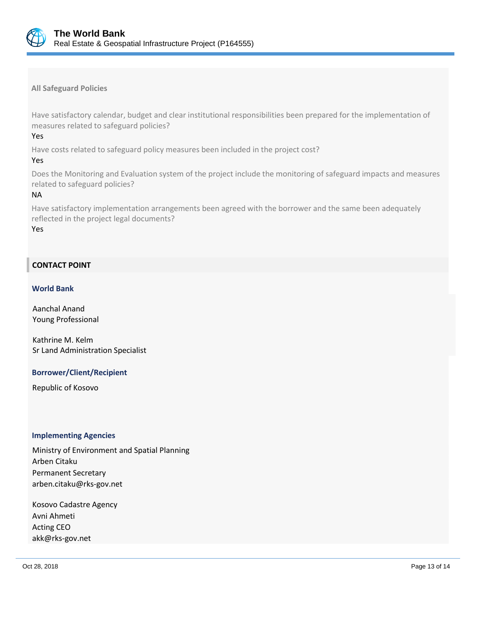

**All Safeguard Policies**

Have satisfactory calendar, budget and clear institutional responsibilities been prepared for the implementation of measures related to safeguard policies?

Yes

Have costs related to safeguard policy measures been included in the project cost?

#### Yes

Does the Monitoring and Evaluation system of the project include the monitoring of safeguard impacts and measures related to safeguard policies?

## NA

Have satisfactory implementation arrangements been agreed with the borrower and the same been adequately reflected in the project legal documents?

Yes

## **CONTACT POINT**

#### **World Bank**

Aanchal Anand Young Professional

Kathrine M. Kelm Sr Land Administration Specialist

#### **Borrower/Client/Recipient**

Republic of Kosovo

#### **Implementing Agencies**

Ministry of Environment and Spatial Planning Arben Citaku Permanent Secretary arben.citaku@rks-gov.net

Kosovo Cadastre Agency Avni Ahmeti Acting CEO akk@rks-gov.net